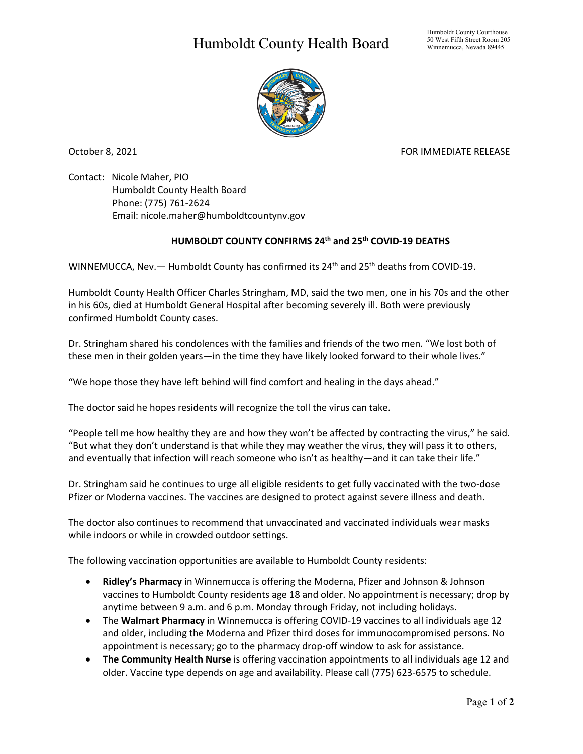## Humboldt County Health Board



October 8, 2021 FOR IMMEDIATE RELEASE

Contact: Nicole Maher, PIO Humboldt County Health Board Phone: (775) 761-2624 Email: nicole.maher@humboldtcountynv.gov

## **HUMBOLDT COUNTY CONFIRMS 24th and 25th COVID-19 DEATHS**

WINNEMUCCA, Nev. - Humboldt County has confirmed its 24<sup>th</sup> and 25<sup>th</sup> deaths from COVID-19.

Humboldt County Health Officer Charles Stringham, MD, said the two men, one in his 70s and the other in his 60s, died at Humboldt General Hospital after becoming severely ill. Both were previously confirmed Humboldt County cases.

Dr. Stringham shared his condolences with the families and friends of the two men. "We lost both of these men in their golden years—in the time they have likely looked forward to their whole lives."

"We hope those they have left behind will find comfort and healing in the days ahead."

The doctor said he hopes residents will recognize the toll the virus can take.

"People tell me how healthy they are and how they won't be affected by contracting the virus," he said. "But what they don't understand is that while they may weather the virus, they will pass it to others, and eventually that infection will reach someone who isn't as healthy—and it can take their life."

Dr. Stringham said he continues to urge all eligible residents to get fully vaccinated with the two-dose Pfizer or Moderna vaccines. The vaccines are designed to protect against severe illness and death.

The doctor also continues to recommend that unvaccinated and vaccinated individuals wear masks while indoors or while in crowded outdoor settings.

The following vaccination opportunities are available to Humboldt County residents:

- **Ridley's Pharmacy** in Winnemucca is offering the Moderna, Pfizer and Johnson & Johnson vaccines to Humboldt County residents age 18 and older. No appointment is necessary; drop by anytime between 9 a.m. and 6 p.m. Monday through Friday, not including holidays.
- The **Walmart Pharmacy** in Winnemucca is offering COVID-19 vaccines to all individuals age 12 and older, including the Moderna and Pfizer third doses for immunocompromised persons. No appointment is necessary; go to the pharmacy drop-off window to ask for assistance.
- **The Community Health Nurse** is offering vaccination appointments to all individuals age 12 and older. Vaccine type depends on age and availability. Please call (775) 623-6575 to schedule.